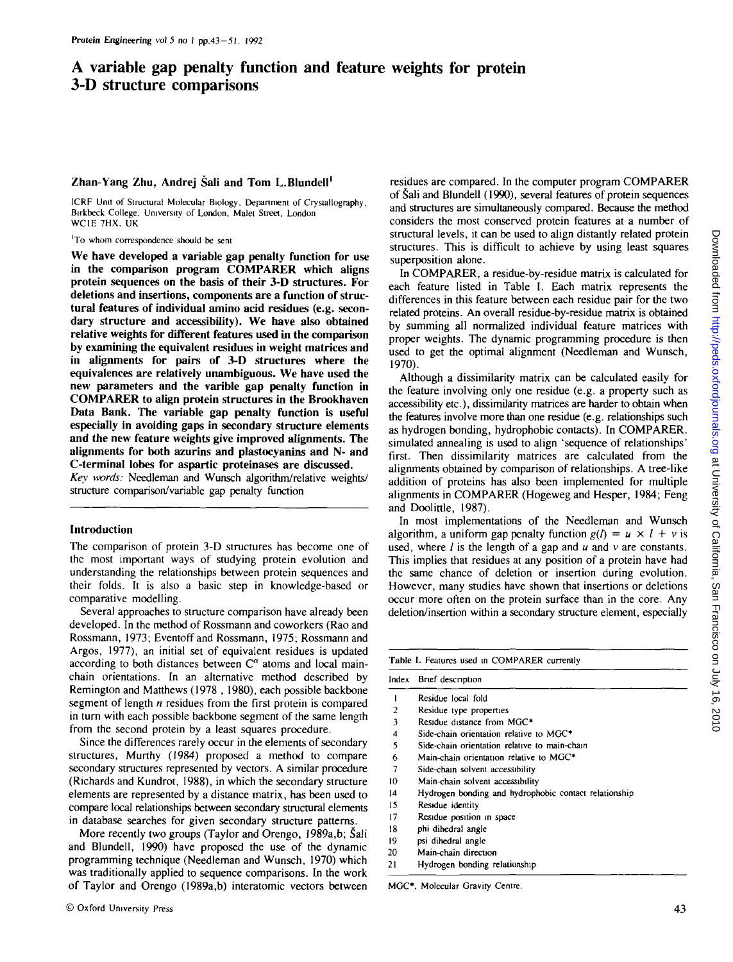# A variable gap penalty function and feature weights for protein 3-D structure comparisons

## **Zhan-Yang Zhu, Andrej Sali and Tom L.Blundell<sup>1</sup>**

ICRF Unit of Structural Molecular Biology, Department of Crystallography, Birkbeck College. University of London. Malet Street. London WC1E 7HX. UK

'To whom correspondence should be sent

**We have developed a variable gap penalty function for use in the comparison program COMPARER which aligns protein sequences on the basis of their 3-D structures. For deletions and insertions, components are a function of structural features of individual amino acid residues (e.g. secondary structure and accessibility). We have also obtained relative weights for different features used in the comparison by examining the equivalent residues in weight matrices and in alignments for pairs of 3-D structures where the equivalences are relatively unambiguous. We have used the new parameters and the varible gap penalty function in COMPARER to align protein structures in the Brookhaven Data Bank. The variable gap penalty function is useful especially in avoiding gaps in secondary structure elements and the new feature weights give improved alignments. The alignments for both azurins and plastocyanins and N- and C-terminal lobes for aspartic proteinases are discussed.**

*Key words:* Needleman and Wunsch algorithm/relative weights/ structure comparison/variable gap penalty function

#### **Introduction**

The comparison of protein 3-D structures has become one of the most important ways of studying protein evolution and understanding the relationships between protein sequences and their folds. It is also a basic step in knowledge-based or comparative modelling.

Several approaches to structure comparison have already been developed. In the method of Rossmann and coworkers (Rao and Rossmann, 1973; Eventoff and Rossmann, 1975; Rossmann and Argos, 1977), an initial set of equivalent residues is updated according to both distances between  $C^{\alpha}$  atoms and local mainchain orientations. In an alternative method described by Remington and Matthews (1978 , 1980), each possible backbone segment of length *n* residues from the first protein is compared in turn with each possible backbone segment of the same length from the second protein by a least squares procedure.

Since the differences rarely occur in the elements of secondary structures, Murthy (1984) proposed a method to compare secondary structures represented by vectors. A similar procedure (Richards and Kundrot, 1988), in which the secondary structure elements are represented by a distance matrix, has been used to compare local relationships between secondary structural elements in database searches for given secondary structure patterns.

More recently two groups (Taylor and Orengo, 1989a,b; Sali and Blundell, 1990) have proposed the use of the dynamic programming technique (Needleman and Wunsch, 1970) which was traditionally applied to sequence comparisons. In the work of Taylor and Orengo (1989a,b) interatomic vectors between residues are compared. In the computer program COMPARER of Sali and Blundell (1990), several features of protein sequences and structures are simultaneously compared. Because the method considers the most conserved protein features at a number of structural levels, it can be used to align distantly related protein structures. This is difficult to achieve by using least squares superposition alone.

In COMPARER, a residue-by-residue matrix is calculated for each feature listed in Table I. Each matrix represents the differences in this feature between each residue pair for the two related proteins. An overall residue-by-residue matrix is obtained by summing all normalized individual feature matrices with proper weights. The dynamic programming procedure is then used to get the optimal alignment (Needleman and Wunsch, 1970).

Although a dissimilarity matrix can be calculated easily for the feature involving only one residue (e.g. a property such as accessibility etc.), dissimilarity matrices are harder to obtain when the features involve more than one residue (e.g. relationships such as hydrogen bonding, hydrophobic contacts). In COMPARER, simulated annealing is used to align 'sequence of relationships' first. Then dissimilarity matrices are calculated from the alignments obtained by comparison of relationships. A tree-like addition of proteins has also been implemented for multiple alignments in COMPARER (Hogeweg and Hesper, 1984; Feng and Doolittle, 1987).

In most implementations of the Needleman and Wunsch algorithm, a uniform gap penalty function  $g(l) = u \times l + v$  is used, where / is the length of a gap and *u* and v are constants. This implies that residues at any position of a protein have had the same chance of deletion or insertion during evolution. However, many studies have shown that insertions or deletions occur more often on the protein surface than in the core. Any deletion/insertion within a secondary structure element, especially

| Index | Brief description                                     |
|-------|-------------------------------------------------------|
|       | Residue local fold                                    |
| 2     | Residue type properties                               |
| 3     | Residue distance from MGC*                            |
| 4     | Side-chain orientation relative to MGC*               |
| 5     | Side-chain orientation relative to main-chain         |
| 6     | Main-chain orientation relative to MGC*               |
| 7     | Side-chain solvent accessibility                      |
| 10    | Main-chain solvent accessibility                      |
| 14    | Hydrogen bonding and hydrophobic contact relationship |
| 15    | Residue identity                                      |
| 17    | Residue position in space                             |
| 18    | phi dihedral angle                                    |
| 19    | psi dihedral angle                                    |
| 20    | Main-chain direction                                  |
| 21    | Hydrogen bonding relationship                         |

MGC', Molecular Gravity Centre.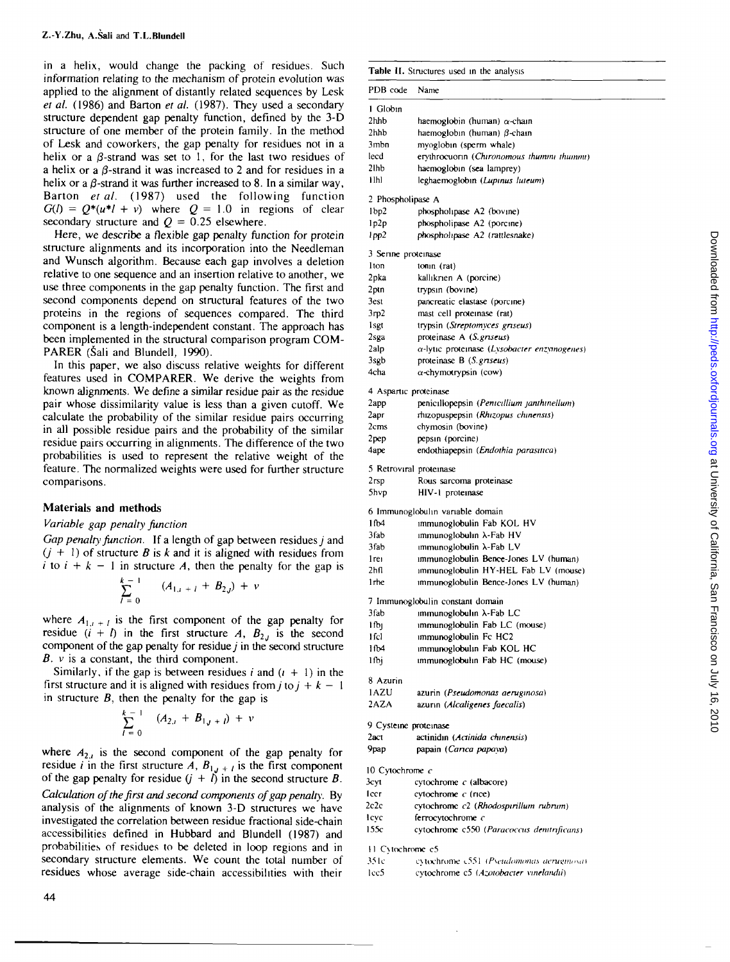in a helix, would change the packing of residues. Such information relating to the mechanism of protein evolution was applied to the alignment of distantly related sequences by Lesk *et al.* (1986) and Barton *et al.* (1987). They used a secondary structure dependent gap penalty function, defined by the 3-D structure of one member of the protein family. In the method of Lesk and coworkers, the gap penalty for residues not in a helix or a  $\beta$ -strand was set to 1, for the last two residues of a helix or a  $\beta$ -strand it was increased to 2 and for residues in a helix or a  $\beta$ -strand it was further increased to 8. In a similar way, Barton *et al.* (1987) used the following function  $G(t) = O^*(u^*l + v)$  where  $O = 1.0$  in regions of clear secondary structure and  $Q = 0.25$  elsewhere.

Here, we describe a flexible gap penalty function for protein structure alignments and its incorporation into the Needleman and Wunsch algorithm. Because each gap involves a deletion relative to one sequence and an insertion relative to another, we use three components in the gap penalty function. The first and second components depend on structural features of the two proteins in the regions of sequences compared. The third component is a length-independent constant. The approach has been implemented in the structural comparison program COM-PARER (Šali and Blundell, 1990).

In this paper, we also discuss relative weights for different features used in COMPARER. We derive the weights from known alignments. We define a similar residue pair as the residue pair whose dissimilarity value is less than a given cutoff. We calculate the probability of the similar residue pairs occurring in all possible residue pairs and the probability of the similar residue pairs occurring in alignments. The difference of the two probabilities is used to represent the relative weight of the feature. The normalized weights were used for further structure comparisons.

# **Materials and methods**

## *Variable gap penalty Junction*

*Gap penalty function.* If a length of gap between residues *j* and  $(j + 1)$  of structure *B* is *k* and it is aligned with residues from *i* to  $i + k - 1$  in structure *A*, then the penalty for the gap is

$$
\sum_{l=0}^{k-1} (A_{1,j+l} + B_{2,j}) + v
$$

where  $A_{1,t+1}$  is the first component of the gap penalty for residue  $(i + l)$  in the first structure *A*,  $B_{2j}$  is the second component of the gap penalty for residue  $j$  in the second structure  $B. v$  is a constant, the third component.

Similarly, if the gap is between residues  $i$  and  $(i + 1)$  in the first structure and it is aligned with residues from  $j$  to  $j + k - 1$ in structure *B,* then the penalty for the gap is

$$
\sum_{l=0}^{k-1} (A_{2,i} + B_{1,j+l}) + v
$$

where  $A_{2,i}$  is the second component of the gap penalty for residue *i* in the first structure *A*,  $B_{1,t+1}$  is the first component of the gap penalty for residue  $(j + i)$  in the second structure *B*. *Calculation ojthe first and second components of gap penalty.* By analysis of the alignments of known 3-D structures we have investigated the correlation between residue fractional side-chain accessibilities defined in Hubbard and Blundell (1987) and probabilities of residues to be deleted in loop regions and in secondary structure elements. We count the total number of residues whose average side-chain accessibilities with their

| PDB code                  | Name                                                           |
|---------------------------|----------------------------------------------------------------|
| I Globin                  |                                                                |
| 2hhb                      | haemoglobin (human) $\alpha$ -chain                            |
| $2$ hhb                   | haemoglobin (human) $\beta$ -chain                             |
| 3mbn                      | myoglobin (sperm whale)                                        |
| lecd                      | erythrocuorin (Chironomous thummi thummi)                      |
| 2 <sub>lhb</sub>          | haemoglobin (sea lamprey)                                      |
| i ihi                     | leghaemoglobin (Lupinus luteum)                                |
| 2 Phospholipase A         |                                                                |
| 1bp2                      | phospholipase A2 (bovine)                                      |
| 1p2p                      | phospholipase A2 (porcine)                                     |
| l pp2                     | phospholipase A2 (rattlesnake)                                 |
| 3 Serine proteinase       |                                                                |
| 1ton                      | $tonin$ (rat)                                                  |
| 2pka                      | kallikrien A (porcine)                                         |
| 2ptn                      | trypsin (bovine)                                               |
| <b>Best</b>               | pancreatic elastase (porcine)                                  |
| 3rp2                      | mast cell proteinase (rat)                                     |
| <b>lsgt</b>               | trypsin (Streptomyces griseus)                                 |
| 2sga                      | proteinase A (S. griseus)                                      |
| 2alp                      | $\alpha$ -lytic proteinase (Lysobacter enzymogenes)            |
| 3sgb                      | proteinase B (S. griseus)                                      |
| 4cha                      | $\alpha$ -chymotrypsin (cow)                                   |
|                           | 4 Aspartic proteinase                                          |
| 2app                      | penicillopepsin (Penicillium janthinellum)                     |
| 2apr                      | rhizopuspepsin (Rhizopus chinensis)                            |
| 2cms                      | chymosin (bovine)                                              |
| 2pep                      | pepsin (porcine)                                               |
| 4ape                      | endothiapepsin (Endothia parasitica)                           |
|                           | 5 Retroviral proteinase                                        |
| 2rsp                      | Rous sarcoma proteinase                                        |
| <b>Shvp</b>               | HIV-1 proteinase                                               |
|                           | 6 Immunoglobulin variable domain                               |
| 1fb4                      | immunoglobulin Fab KOL HV                                      |
| 3fab                      | immunoglobulin $\lambda$ -Fab HV                               |
| 3fab                      | immunoglobulin $\lambda$ -Fab LV                               |
| l rei                     | immunoglobulin Bence-Jones LV (human)                          |
| 2hfl                      | immunoglobulin HY-HEL Fab LV (mouse)                           |
| 1 <sub>rhe</sub>          | immunoglobulin Bence-Jones LV (human)                          |
|                           | 7 Immunoglobulin constant domain                               |
| 3fab                      | ımmunoglobulın λ-Fab LC                                        |
| l fb <sub>l</sub>         | immunoglobulin Fab LC (mouse)                                  |
| 1 fel                     | immunoglobulin Fc HC2                                          |
| 1fb4                      | immunoglobulin Fab KOL HC                                      |
| 1fbi                      | immunoglobulin Fab HC (mouse)                                  |
| 8 Azurin                  |                                                                |
| 1AZU                      | azurin (Pseudomonas aeruginosa)                                |
| 2AZA                      | azurin (Alcaligenes faecalis)                                  |
|                           | 9 Cysteine proteinase                                          |
| $2$ act                   | actinidin (Actinida chinensis)                                 |
| 9pap                      | papain (Carica papaya)                                         |
|                           |                                                                |
| 10 Cytochrome $c$<br>3суі | cytochrome c (albacore)                                        |
| lccr                      |                                                                |
| 2c2c                      | cytochrome c (rice)                                            |
|                           | cytochrome c2 (Rhodospirillum rubrum)                          |
| leve<br>155c              | ferrocytochrome c<br>cytochrome c550 (Paracoccus dentrificans) |
|                           |                                                                |
| 11 Cytochrome c5          |                                                                |
| 35 I c                    | extochrome c551 (Pseudomonas aeruginosa)                       |
| lec5                      | cytochrome c5 (Azotobacter vinelandii)                         |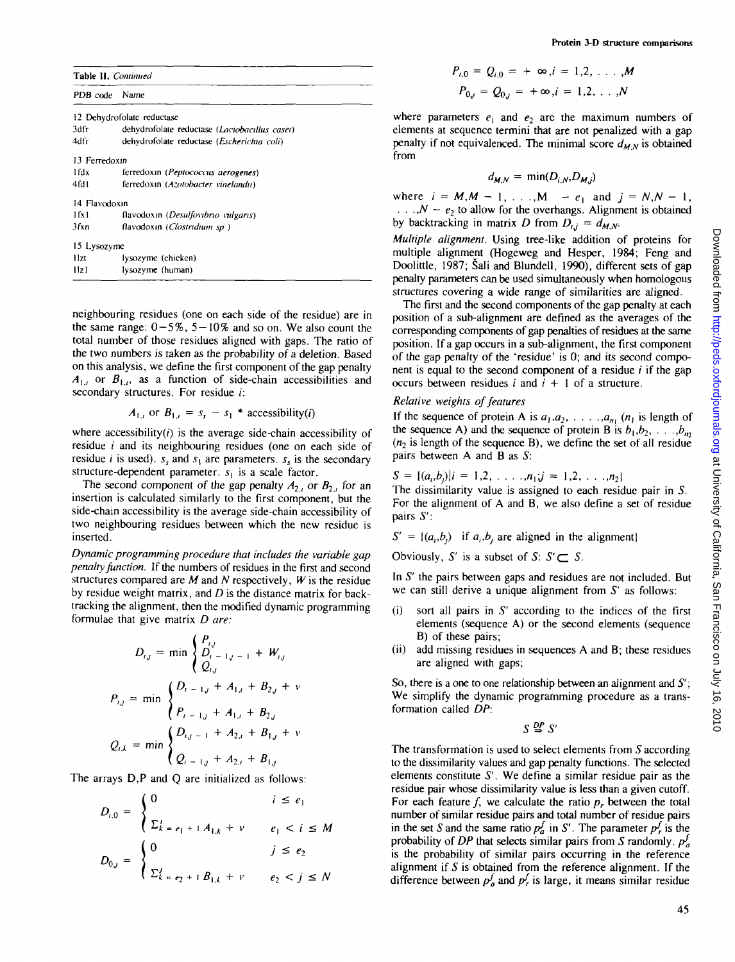|  | Table II. Continued |
|--|---------------------|
|--|---------------------|

| PDB code          | Name                                          |
|-------------------|-----------------------------------------------|
|                   | 12 Dehydrofolate reductase                    |
| 3dfr              | dehydrofolate reductase (Lactobacillus casei) |
| 4dfr              | dehydrofolate reductase (Escherichia coli)    |
| 13 Ferredoxin     |                                               |
| 1fdx.             | ferredoxin ( <i>Peptococcus aerogenes</i> )   |
| 4fd I             | ferredoxin (Azotobacter vinelandu)            |
| 14 Flavodoxin     |                                               |
| 1f <sub>X</sub> 1 | flavodoxin (Desulfovibrio vulgaris)           |
| 3fxn              | flavodoxin (Clostridium sp.)                  |
| 15 Lysozyme       |                                               |
| Hzt               | lysozyme (chicken)                            |
| Hzl               | lysozyme (human)                              |

neighbouring residues (one on each side of the residue) are in the same range:  $0-5\%$ ,  $5-10\%$  and so on. We also count the total number of those residues aligned with gaps. The ratio of the two numbers is taken as the probability of a deletion. Based on this analysis, we define the first component of the gap penalty  $A_{1,i}$  or  $B_{1,i}$ , as a function of side-chain accessibilities and secondary structures. For residue *i*:

$$
A_{1,i} \text{ or } B_{1,i} = s_s - s_1 \cdot \text{accessibility}(i)
$$

where accessibility $(i)$  is the average side-chain accessibility of residue  $i$  and its neighbouring residues (one on each side of residue *i* is used).  $s<sub>s</sub>$  and  $s<sub>1</sub>$  are parameters.  $s<sub>s</sub>$  is the secondary structure-dependent parameter. *s{* is a scale factor.

The second component of the gap penalty  $A_{2i}$  or  $B_{2i}$  for an insertion is calculated similarly to the first component, but the side-chain accessibility is the average side-chain accessibility of two neighbouring residues between which the new residue is inserted.

*Dynamic programming procedure that includes the variable gap penalty Junction.* If the numbers of residues in the first and second structures compared are *M* and *N* respectively, *W* is the residue by residue weight matrix, and *D* is the distance matrix for backtracking the alignment, then the modified dynamic programming formulae that give matrix *D are:*

$$
D_{i,j} = \min \begin{cases} P_{i,j} \\ D_{i-1,j-1} + W_{i,j} \\ Q_{i,j} \end{cases}
$$
  

$$
P_{i,j} = \min \begin{cases} D_{i-1,j} + A_{1,i} + B_{2,j} + v \\ P_{i-1,j} + A_{1,i} + B_{2,j} \end{cases}
$$
  

$$
Q_{i,k} = \min \begin{cases} D_{i,j-1} + A_{2,i} + B_{1,j} + v \\ Q_{i-1,j} + A_{2,i} + B_{1,j} \end{cases}
$$

The arrays D,P and Q are initialized as follows:

$$
D_{i,0} = \begin{cases} 0 & i \le e_1 \\ \sum_{k=e_1+1}^{i} A_{1,k} + v & e_1 < i \le M \end{cases}
$$
  

$$
D_{0,j} = \begin{cases} 0 & j \le e_2 \\ \sum_{k=e_2+1}^{j} B_{1,k} + v & e_2 < j \le N \end{cases}
$$

$$
P_{i,0} = Q_{i,0} = +\infty, i = 1,2, ..., M
$$
  

$$
P_{0,j} = Q_{0,j} = +\infty, i = 1,2, ..., N
$$

where parameters  $e_1$  and  $e_2$  are the maximum numbers of elements at sequence termini that are not penalized with a gap penalty if not equivalenced. The minimal score  $d_{MN}$  is obtained from

$$
d_{M,N} = \min(D_{i,N}, D_{M,j})
$$

where  $i = M, M - 1, ..., M - e_1$  and  $j = N, N - 1$ ,  $\ldots$ ,  $N - e_2$  to allow for the overhangs. Alignment is obtained by backtracking in matrix *D* from  $D_{i,j} = d_{M,N}$ .

*Multiple alignment.* Using tree-like addition of proteins for multiple alignment (Hogeweg and Hesper, 1984; Feng and Doolittle, 1987; Sali and Blundell, 1990), different sets of gap penalty parameters can be used simultaneously when homologous structures covering a wide range of similarities are aligned.

The first and the second components of the gap penalty at each position of a sub-alignment are defined as the averages of the corresponding components of gap penalties of residues at the same position. If a gap occurs in a sub-alignment, the first component of the gap penalty of the 'residue' is 0; and its second component is equal to the second component of a residue  $i$  if the gap occurs between residues  $i$  and  $i + 1$  of a structure.

## *Relative weights of features*

If the sequence of protein A is  $a_1, a_2, \ldots, a_{n_1}$  ( $n_1$  is length of the sequence A) and the sequence of protein B is  $b_1, b_2, \ldots, b_m$  $(n<sub>2</sub>)$  is length of the sequence B), we define the set of all residue pairs between A and B as 5:

$$
S = \{(a_i, b_j)|i = 1, 2, \ldots, n_1; j = 1, 2, \ldots, n_2\}
$$

The dissimilarity value is assigned to each residue pair in *S.* For the alignment of A and B, we also define a set of residue pairs *S':*

 $S' = \{(a_i, b_i)$  if  $a_i, b_i$  are aligned in the alignment)

Obviously, S' is a subset of  $S: S' \subset S$ .

In *S'* the pairs between gaps and residues are not included. But we can still derive a unique alignment from *S'* as follows:

- $(i)$  sort all pairs in  $S'$  according to the indices of the first elements (sequence A) or the second elements (sequence B) of these pairs;
- (ii) add missing residues in sequences A and B; these residues are aligned with gaps;

So, there is a one to one relationship between an alignment and  $S'$ ; We simplify the dynamic programming procedure as a transformation called *DP:*

## *DP S'*

The transformation is used to select elements from *S* according to the dissimilarity values and gap penalty functions. The selected elements constitute *S'.* We define a similar residue pair as the residue pair whose dissimilarity value is less than a given cutoff. For each feature  $f$ , we calculate the ratio  $p<sub>r</sub>$  between the total number of similar residue pairs and total number of residue pairs in the set *S* and the same ratio  $p_a^f$  in *S'*. The parameter  $p_r^f$  is the probability of DP that selects similar pairs from S randomly.  $p_{a}^{j}$ is the probability of similar pairs occurring in the reference alignment if  $S$  is obtained from the reference alignment. If the difference between  $p_a^f$  and  $p_f^f$  is large, it means similar residue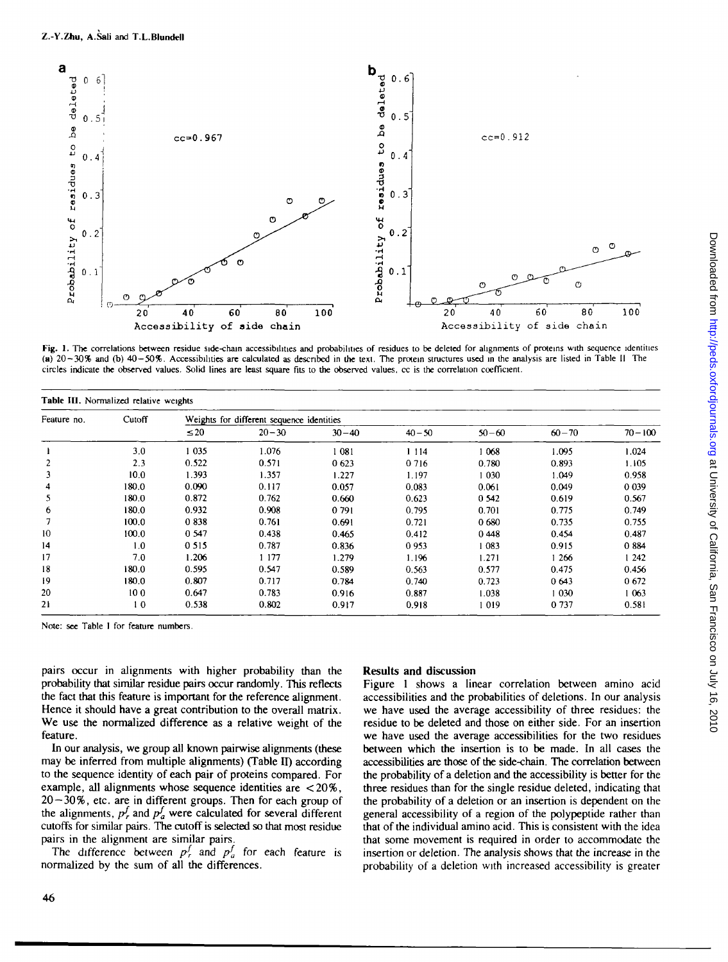

Fig. 1. The correlations between residue side-chain accessibilities and probabilities of residues to be deleted for alignments of proteins with sequence identities (a) 20 — 30% and (b) 40—50%. Accessibilities are calculated as described in the text. The protein structures used in the analysis arc listed in Table II The circles indicate the observed values. Solid lines are least square Fits to the observed values, cc is the correlation coefficient.

| Table III. Normalized relative weights |        |           |                                           |           |           |           |           |            |
|----------------------------------------|--------|-----------|-------------------------------------------|-----------|-----------|-----------|-----------|------------|
| Feature no.                            | Cutoff |           | Weights for different sequence identities |           |           |           |           |            |
|                                        |        | $\leq 20$ | $20 - 30$                                 | $30 - 40$ | $40 - 50$ | $50 - 60$ | $60 - 70$ | $70 - 100$ |
|                                        | 3.0    | 035       | 1.076                                     | 081       | 1 1 1 4   | 1068      | 1.095     | 1.024      |
|                                        | 2.3    | 0.522     | 0.571                                     | 0623      | 0 716     | 0.780     | 0.893     | 1.105      |
| 3                                      | 10.0   | 1.393     | 1.357                                     | 1.227     | 1.197     | 1 0 3 0   | 1.049     | 0.958      |
| 4                                      | 180.0  | 0.090     | 0.117                                     | 0.057     | 0.083     | 0.061     | 0.049     | 0 0 39     |
| 5.                                     | 180.0  | 0.872     | 0.762                                     | 0.660     | 0.623     | 0 542     | 0.619     | 0.567      |
| 6                                      | 180.0  | 0.932     | 0.908                                     | 0 791     | 0.795     | 0.701     | 0.775     | 0.749      |
|                                        | 100.0  | 0838      | 0.761                                     | 0.691     | 0.721     | 0680      | 0.735     | 0.755      |
| 10                                     | 100.0  | 0 547     | 0.438                                     | 0.465     | 0.412     | 0448      | 0.454     | 0.487      |
| 14                                     | 1.0    | 0 5 1 5   | 0.787                                     | 0.836     | 0 9 5 3   | 083       | 0.915     | 0884       |
| 17                                     | 7.0    | 1.206     | 1 177                                     | 1.279     | 1.196     | 1.271     | 1 266     | 1 242      |
| 18                                     | 180.0  | 0.595     | 0.547                                     | 0.589     | 0.563     | 0.577     | 0.475     | 0.456      |
| 19                                     | 180.0  | 0.807     | 0.717                                     | 0.784     | 0.740     | 0.723     | 0643      | 0672       |
| 20                                     | 100    | 0.647     | 0.783                                     | 0.916     | 0.887     | 1.038     | 1030      | 1 063      |
| 21                                     | 10     | 0.538     | 0.802                                     | 0.917     | 0.918     | 1 019     | 0 737     | 0.581      |

Note: see Table I for feature numbers.

pairs occur in alignments with higher probability than the probability that similar residue pairs occur randomly. This reflects the fact that this feature is important for the reference alignment. Hence it should have a great contribution to the overall matrix. We use the normalized difference as a relative weight of the feature.

In our analysis, we group all known pairwise alignments (these may be inferred from multiple alignments) (Table II) according to the sequence identity of each pair of proteins compared. For example, all alignments whose sequence identities are  $<$  20%,  $20 - 30\%$ , etc. are in different groups. Then for each group of the alignments,  $p_r^f$  and  $p_a^f$  were calculated for several different cutoffs for similar pairs. The cutoff is selected so that most residue pairs in the alignment are similar pairs.

The difference between  $p^f$  and  $p^f$  for each feature is normalized by the sum of all the differences.

## **Results and discussion**

Figure 1 shows a linear correlation between amino acid accessibilities and the probabilities of deletions. In our analysis we have used the average accessibility of diree residues: the residue to be deleted and those on either side. For an insertion we have used the average accessibilities for the two residues between which the insertion is to be made. In all cases the accessibilities are those of the side-chain. The correlation between the probability of a deletion and the accessibility is better for the three residues than for the single residue deleted, indicating that the probability of a deletion or an insertion is dependent on the genera] accessibility of a region of the polypeptide rather than that of the individual amino acid. This is consistent with the idea that some movement is required in order to accommodate the insertion or deletion. The analysis shows that the increase in the probability of a deletion with increased accessibility is greater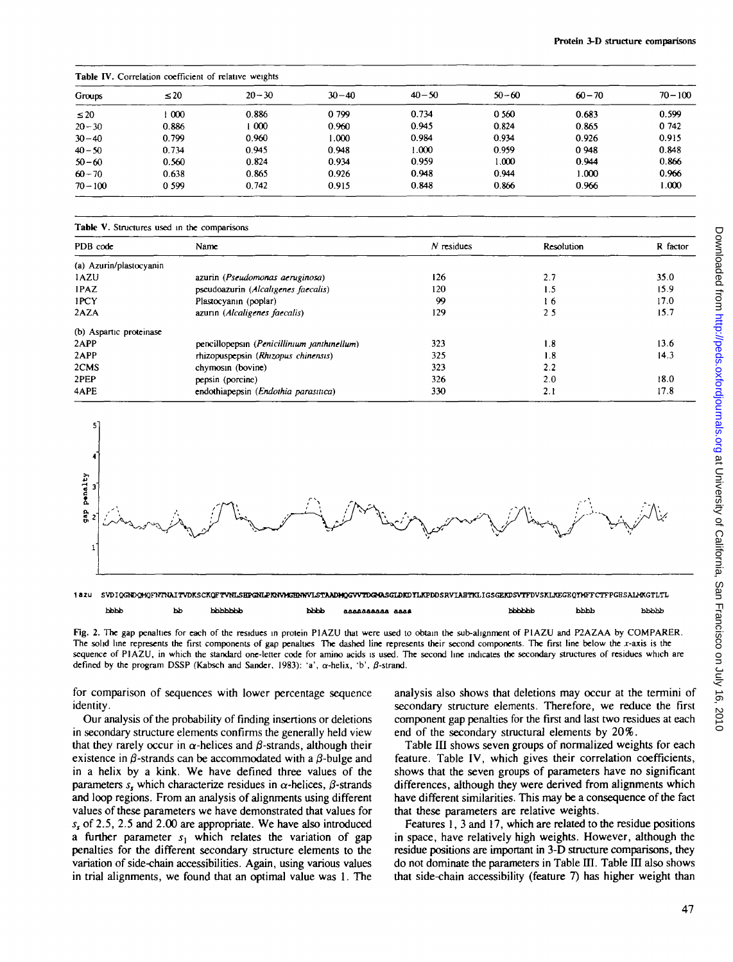## **Table IV.** Correlation coefficient of relative weights

| Groups     | $\leq 20$ | $20 - 30$        | $30 - 40$ | $40 - 50$ | $50 - 60$ | $60 - 70$ | $70 - 100$ |  |
|------------|-----------|------------------|-----------|-----------|-----------|-----------|------------|--|
| $\leq 20$  | $\infty$  | 0.886            | 0 799     | 0.734     | 0 560     | 0.683     | 0.599      |  |
| $20 - 30$  | 0.886     | $\overline{000}$ | 0.960     | 0.945     | 0.824     | 0.865     | 0 742      |  |
| $30 - 40$  | 0.799     | 0.960            | 1.000     | 0.984     | 0.934     | 0.926     | 0.915      |  |
| $40 - 50$  | 0.734     | 0.945            | 0.948     | 1.000     | 0.959     | 0948      | 0.848      |  |
| $50 - 60$  | 0.560     | 0.824            | 0.934     | 0.959     | 1.000     | 0.944     | 0.866      |  |
| $60 - 70$  | 0.638     | 0.865            | 0.926     | 0.948     | 0.944     | 1.000     | 0.966      |  |
| $70 - 100$ | 0 5 9 9   | 0.742            | 0.915     | 0.848     | 0.866     | 0.966     | 1.000      |  |

**Table V.** Structures used in the comparisons

| PDB code                | Name                                        | $N$ residues | Resolution | R factor |  |  |  |
|-------------------------|---------------------------------------------|--------------|------------|----------|--|--|--|
| (a) Azurin/plastocyanin |                                             |              |            |          |  |  |  |
| 1AZU                    | azurin (Pseudomonas aeruginosa)             | 126          | 2.7        | 35.0     |  |  |  |
| 1PAZ                    | pseudoazurin (Alcaligenes faecalis)         | 120          | 1.5        | 15.9     |  |  |  |
| 1PCY                    | Plastocyanin (poplar)                       | 99           | 16.        | 17.0     |  |  |  |
| 2AZA                    | azurin (Alcaligenes faecalis)               | 129          | 25         | 15.7     |  |  |  |
| (b) Aspartic proteinase |                                             |              |            |          |  |  |  |
| 2APP                    | pencillopepsin (Penicillinium janthinellum) | 323          | 1.8        | 13.6     |  |  |  |
| 2APP                    | rhizopuspepsin (Rhizopus chinensis)         | 325          | 1.8        | 14.3     |  |  |  |
| 2CMS                    | chymosin (bovine)                           | 323          | 2.2        |          |  |  |  |
| 2PEP                    | pepsin (porcine)                            | 326          | 2.0        | 18.0     |  |  |  |
| 4APE                    | endothiapepsin (Endothia parasitica)        | 330          | 2.1        | 17.8     |  |  |  |
|                         |                                             |              |            |          |  |  |  |





Fig. 2. The gap penalties for each of the residues in protein PIAZU that were used to obtain the sub-alignment of PIAZU and P2AZAA by COMPARER. The solid line represents the first components of gap penalties The dashed line represents their second components. The first line below the x-axis is the sequence of PIAZU, in which the standard one-letter code for amino acids is used. The second line indicates the secondary structures of residues which are defined by the program DSSP (Kabsch and Sander, 1983): 'a',  $\alpha$ -helix, 'b',  $\beta$ -strand.

for comparison of sequences with lower percentage sequence identity.

Our analysis of the probability of finding insertions or deletions in secondary structure elements confirms the generally held view that they rarely occur in  $\alpha$ -helices and  $\beta$ -strands, although their existence in  $\beta$ -strands can be accommodated with a  $\beta$ -bulge and in a helix by a kink. We have defined three values of the parameters  $s<sub>s</sub>$  which characterize residues in  $\alpha$ -helices,  $\beta$ -strands and loop regions. From an analysis of alignments using different values of these parameters we have demonstrated that values for *ss* of 2.5, 2.5 and 2.00 are appropriate. We have also introduced a further parameter  $s_1$  which relates the variation of gap penalties for the different secondary structure elements to the variation of side-chain accessibilities. Again, using various values in trial alignments, we found that an optimal value was 1. The analysis also shows that deletions may occur at the termini of secondary structure elements. Therefore, we reduce the first component gap penalties for the first and last two residues at each end of the secondary structural elements by 20%.

Table III shows seven groups of normalized weights for each feature. Table IV, which gives their correlation coefficients, shows that the seven groups of parameters have no significant differences, although they were derived from alignments which have different similarities. This may be a consequence of the fact that these parameters are relative weights.

Features 1, 3 and 17, which are related to the residue positions in space, have relatively high weights. However, although the residue positions are important in 3-D structure comparisons, they do not dominate the parameters in Table III. Table III also shows that side-chain accessibility (feature 7) has higher weight than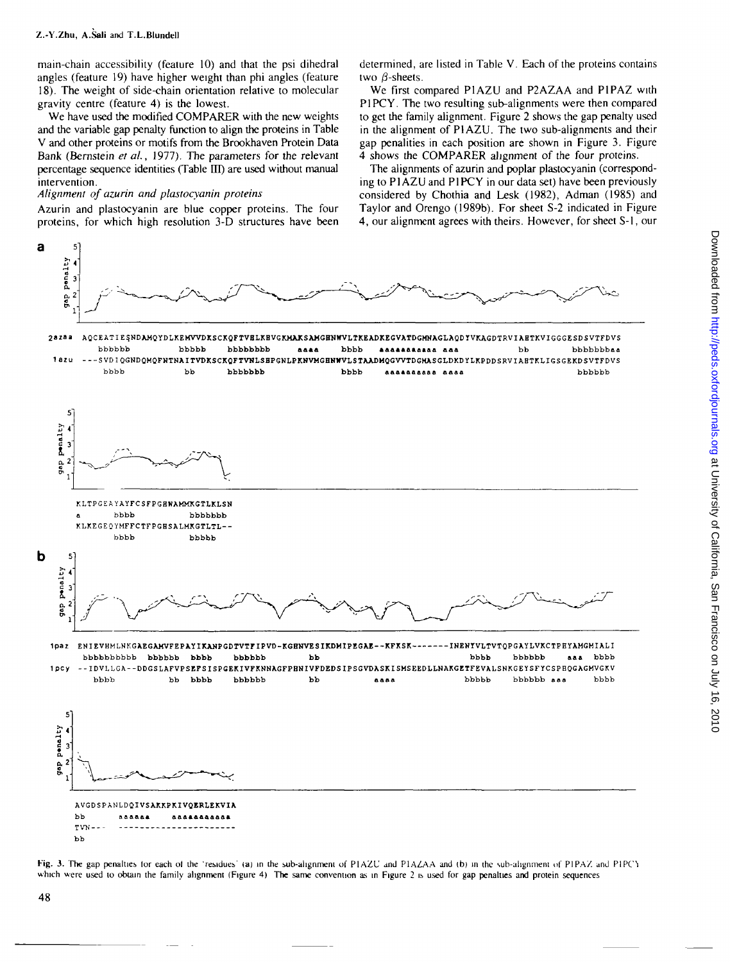main-chain accessibility (feature 10) and that the psi dihedral angles (feature 19) have higher weight than phi angles (feature 18). The weight of side-chain orientation relative to molecular gravity centre (feature 4) is the lowest.

We have used the modified COMPARER with the new weights and the variable gap penalty function to align the proteins in Table V and other proteins or motifs from the Brookhaven Protein Data Bank (Bernstein *et ai,* 1977). The parameters for the relevant percentage sequence identities (Table *UT)* are used without manual intervention.

## *Alignment of azurin and plastocyanin proteins*

Azurin and plastocyanin are blue copper proteins. The four proteins, for which high resolution 3-D structures have been

determined, are listed in Table V. Each of the proteins contains two  $\beta$ -sheets.

We first compared P1AZU and P2AZAA and P1PAZ with P1PCY. The two resulting sub-alignments were then compared to get the family alignment. Figure 2 shows the gap penalty used in the alignment of PI AZU. The two sub-alignments and their gap penalities in each position are shown in Figure 3. Figure 4 shows the COMPARER alignment of the four proteins.

The alignments of azurin and poplar plastocyanin (corresponding to P1 AZU and P1 PCY in our data set) have been previously considered by Chothia and Lesk (1982), Adman (1985) and Taylor and Orengo (1989b). For sheet S-2 indicated in Figure 4, our alignment agrees with theirs. However, for sheet S-l, our



**Fig. 3.** The gap penalties for each of the 'residues' (a) in the sub-alignment of PIAZU and PIAZA and (b) in the sub-alignment of PIPAZ and PIPC) which were used to obtain the family alignment (Figure 4). The same convention as in Figure 2 is used for gap penalties and protein sequences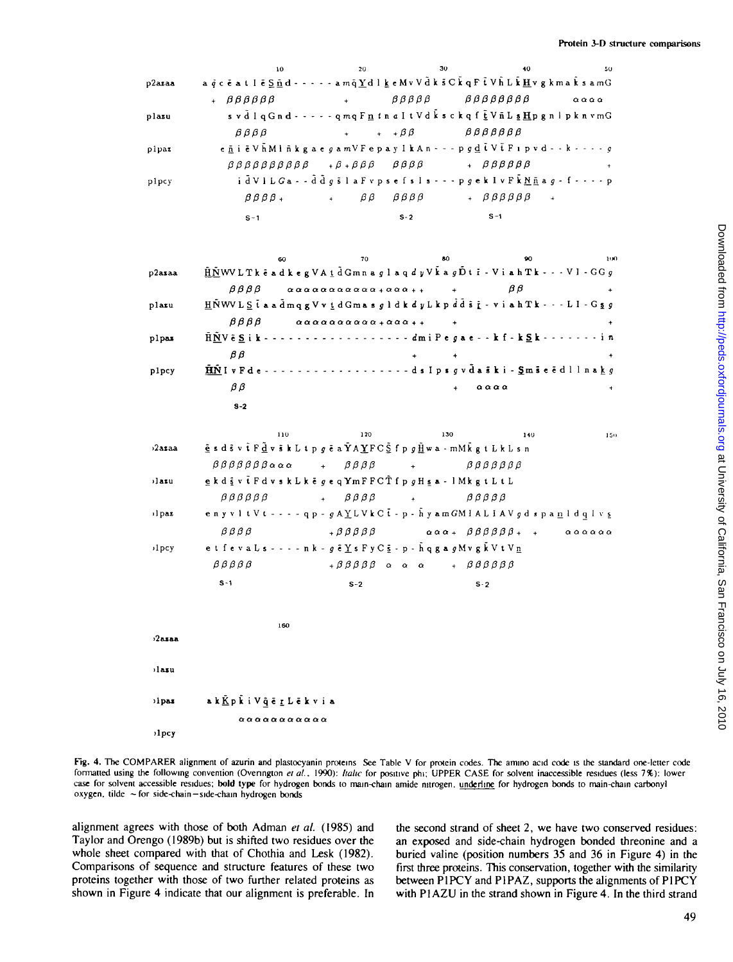|        | 10 <sup>°</sup>                                                                                                                                                     | 20                                                                    | 30                                                           | -40                                                          | 50                            |
|--------|---------------------------------------------------------------------------------------------------------------------------------------------------------------------|-----------------------------------------------------------------------|--------------------------------------------------------------|--------------------------------------------------------------|-------------------------------|
| o2azaa | a q c ē a t I ē <u>S ñ</u> d - - - - - a m q Y d l k e M v V d k s C k q F t V h L k H v g k m a k s a m G                                                          |                                                                       |                                                              |                                                              |                               |
|        | $+ \beta \beta \beta \beta \beta$                                                                                                                                   |                                                                       | + βββββ ββββββββ                                             |                                                              | $\alpha \alpha \alpha \alpha$ |
| plazu  | s v d l q G n d - - - - - q m q F n t n a I t V d k s c k q f t V n L s H p g n l p k n v m G                                                                       |                                                                       |                                                              |                                                              |                               |
|        | $\beta$ $\beta$ $\beta$ $\beta$                                                                                                                                     |                                                                       | $A + \beta \beta$ $\beta \beta \beta \beta \beta \beta$      |                                                              |                               |
| plpaz  | enië VhMl nkgae gam V Fepay I k An - - - p g d t V t F 1 p v d - - k - - - - g                                                                                      |                                                                       |                                                              |                                                              |                               |
|        | $\beta \beta \beta \beta \beta \beta \beta \beta \beta$ $\beta + \beta + \beta \beta \beta$ $\beta \beta \beta \beta$ $\beta + \beta \beta \beta \beta \beta \beta$ |                                                                       |                                                              |                                                              | $\sim$ 100 $\pm$ 100 $\pm$    |
| plpcy  |                                                                                                                                                                     |                                                                       | idVILGa - - ddgslafvpsefsls - - - pgeklvFkNñag - f - - - - p |                                                              |                               |
|        |                                                                                                                                                                     | $\beta \beta \beta \beta_+$ + $\beta \beta$ $\beta \beta \beta \beta$ |                                                              | $\theta$ + $\beta$ $\beta$ $\beta$ $\beta$ $\beta$ $\beta$ + |                               |
|        | $S-1$                                                                                                                                                               |                                                                       | $S - 2$                                                      | $S-1$                                                        |                               |

|        | 60.                          |                                                                                                           | 70 | 80. |                               | 90.                                                                                                                                                                               | 100 |
|--------|------------------------------|-----------------------------------------------------------------------------------------------------------|----|-----|-------------------------------|-----------------------------------------------------------------------------------------------------------------------------------------------------------------------------------|-----|
| p2asaa |                              |                                                                                                           |    |     |                               | $\underline{\hat{\mu}}\tilde{\underline{N}}$ WV L T k $\bar{\epsilon}$ ad k e g V A $\underline{t}$ d G m n a g l a q d y V k a g $\tilde{D}$ t i - V i a h T k - - - V l - G G g |     |
|        | $\beta\,\beta\,\beta\,\beta$ | $\alpha\alpha\alpha\alpha\alpha\alpha\alpha\alpha\alpha\alpha\alpha+ \alpha\alpha\alpha_{++}$             |    |     | BΒ                            |                                                                                                                                                                                   |     |
| plazu  |                              |                                                                                                           |    |     |                               | $\underline{H} \tilde{N} WV L \leq \overline{t}$ a a dmqg $Vv \underline{t}$ d Gmas gldk d y L k p dd s $\underline{t}$ - v i a h T k - - - L I - G s g                           |     |
|        | $\beta \beta \beta \beta$    | $\alpha \alpha \alpha \alpha \alpha \alpha \alpha \alpha \alpha \alpha + \alpha \alpha \alpha + \epsilon$ |    |     |                               |                                                                                                                                                                                   |     |
| plpas  |                              |                                                                                                           |    |     |                               | HNV & S i k - - - - - - - - - - - - - - - - - dm i P e g a e - - k f - k S k - - - - - - - i n                                                                                    |     |
|        | βß                           |                                                                                                           |    | $+$ |                               |                                                                                                                                                                                   |     |
| plpcy  |                              |                                                                                                           |    |     |                               | HNI v F d e - - - - - - - - - - - - - - - - - d s I p s g v d a s k i - Sm s e e d l l n a k g                                                                                    |     |
|        | βß                           |                                                                                                           |    |     | $\alpha \alpha \alpha \alpha$ |                                                                                                                                                                                   |     |
|        | $8 - 2$                      |                                                                                                           |    |     |                               |                                                                                                                                                                                   |     |

|                  | 110                                                                                                                                                                                                                                                             | 120                                 | 130                             | 140<br>150                                                                                                 |
|------------------|-----------------------------------------------------------------------------------------------------------------------------------------------------------------------------------------------------------------------------------------------------------------|-------------------------------------|---------------------------------|------------------------------------------------------------------------------------------------------------|
| 2asaa            | $\underline{\tilde{e}}$ s d $\tilde{s}$ v $\tilde{t}$ $F \underline{\tilde{d}}$ v $\tilde{s}$ k $L$ t $p$ $g$ $\tilde{e}$ a $\tilde{Y}$ A $\underline{Y}$ FC $\underline{\tilde{S}}$ f $p$ $g$ $\underline{\tilde{H}}$ w a - mM $\tilde{k}$ $g$ t $L$ k $L$ s n |                                     |                                 |                                                                                                            |
|                  | $\beta \beta \beta \beta \beta \beta \beta \alpha \alpha \alpha + \beta \beta \beta \beta +$                                                                                                                                                                    |                                     |                                 | $\n  β β β β β$                                                                                            |
| lazu             | g k d $\frac{1}{2}$ v t F d v s k L k e g e q YmFFCT f p g H s a - 1 M k g t L t L                                                                                                                                                                              |                                     |                                 |                                                                                                            |
|                  | $\beta$ $\beta$ $\beta$ $\beta$ $\beta$                                                                                                                                                                                                                         | $\theta \beta \beta \beta$          | $\beta$ $\beta$ $\beta$ $\beta$ |                                                                                                            |
| ilpaz            |                                                                                                                                                                                                                                                                 |                                     |                                 | enyvitVt - - - - qp - gAYLVkCt - p - hyamGMIALIAVgd spanldqlvs                                             |
|                  | $\beta$ $\beta$ $\beta$ $\beta$                                                                                                                                                                                                                                 | $+$ $\beta$ $\beta$ $\beta$ $\beta$ |                                 | $\alpha \alpha \alpha_+ \beta \beta \beta \beta \beta \beta_+ + \alpha \alpha \alpha \alpha \alpha \alpha$ |
| 1 <sub>pcy</sub> | et feva Ls - - - - n k - $g \tilde{e}$ Y s F y C $\bar{S}$ - p - $\tilde{h}$ q g a $g$ M v g $\tilde{k}$ V t V n                                                                                                                                                |                                     |                                 |                                                                                                            |
|                  | $\beta \beta \beta \beta \beta$                                                                                                                                                                                                                                 |                                     | +βββββ ααα + ββββββ             |                                                                                                            |

 $s - 2$ 

 $s-2$ 

 $2a$ saa ilasu ilpaz

 $S - 1$ 

ak <u>K</u>pki V ğēr L ēkvia  $\alpha \alpha \alpha \alpha \alpha \alpha \alpha \alpha \alpha \alpha \alpha$  $1<sub>pcy</sub>$ 

160

Fig. 4. The COMPARER alignment of azurin and plastocyanin proteins See Table V for protein codes. The amino acid code is the standard one-letter code formatted using the following convention (Overington et al., 1990): Italic for positive phi; UPPER CASE for solvent inaccessible residues (less 7%): lower case for solvent accessible residues; bold type for hydrogen bonds to main-chain amide nitrogen, underline for hydrogen bonds to main-chain carbonyl oxygen, tilde ~ for side-chain-side-chain hydrogen bonds

alignment agrees with those of both Adman et al. (1985) and Taylor and Orengo (1989b) but is shifted two residues over the whole sheet compared with that of Chothia and Lesk (1982). Comparisons of sequence and structure features of these two proteins together with those of two further related proteins as shown in Figure 4 indicate that our alignment is preferable. In the second strand of sheet 2, we have two conserved residues: an exposed and side-chain hydrogen bonded threonine and a buried valine (position numbers 35 and 36 in Figure 4) in the first three proteins. This conservation, together with the similarity between PIPCY and PIPAZ, supports the alignments of PIPCY with P1AZU in the strand shown in Figure 4. In the third strand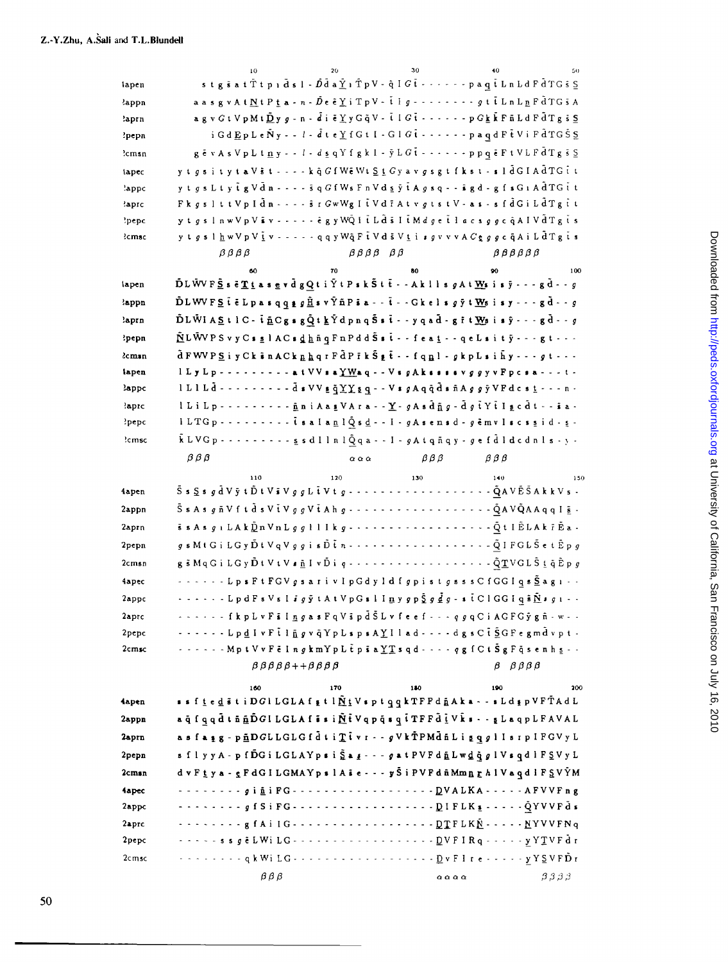|                   | 10                      | 20                                                        | 30                                  | 40<br>50                                                                                                                                                                                                                                                                                                                                                                                                                                                                                                            |
|-------------------|-------------------------|-----------------------------------------------------------|-------------------------------------|---------------------------------------------------------------------------------------------------------------------------------------------------------------------------------------------------------------------------------------------------------------------------------------------------------------------------------------------------------------------------------------------------------------------------------------------------------------------------------------------------------------------|
| lapen             |                         |                                                           |                                     | stg $\tilde{s}$ at $\tilde{T}$ t pid $\tilde{s}$ l - $\tilde{D}$ d a $\tilde{\underline{Y}}$ i $\tilde{T}$ p $V$ - q̃ I $G$ t - - - - - - paq t L n L d F d T G s S                                                                                                                                                                                                                                                                                                                                                 |
| <b>lappn</b>      |                         |                                                           |                                     | aasgvAtNtPta - n - De ë Y i TpV - t I g - - - - - - - - - g t t L n L n F d T G s A                                                                                                                                                                                                                                                                                                                                                                                                                                 |
| ?aprn             |                         |                                                           |                                     | $\mathbf{a} \otimes \mathbf{v} \otimes \mathbf{t}$ V p M $\mathbf{t} \tilde{\mathbf{D}}$ y $\mathbf{g}$ - $\mathbf{n}$ - $\tilde{\mathbf{d}}$ i $\tilde{\mathbf{e}}$ Y y G $\tilde{\mathbf{q}}$ V - $\tilde{\mathbf{t}}$ I G $\tilde{\mathbf{t}}$ - - - - - - - p G $\mathbf{k}$ $\tilde{\mathbf{k}}$ F $\tilde{\mathbf{n}}$ L d F $\tilde{\mathbf{d}}$ T                                                                                                                                                           |
| ?pepn             |                         |                                                           |                                     | i Gd Ep L e Ñ y - - l - d t e Y f G t I - G l G t - - - - - - - p a q d F t V i F d T G S S                                                                                                                                                                                                                                                                                                                                                                                                                         |
| ?cmsn             |                         |                                                           |                                     | gēvAs VpL t n y - - l - d s q Y f g k l - y L G t - - - - - - p p q ē F t V L F d T g s S                                                                                                                                                                                                                                                                                                                                                                                                                           |
| lapec             |                         |                                                           |                                     | y t g s i t y t a V s t - - - - k q̂ G f W e W t $\underline{S}$ t G y a v g s g t f k s t - s l d̄ G I A d̄ T G t t                                                                                                                                                                                                                                                                                                                                                                                                |
| 'appc             |                         |                                                           |                                     | y t g s L t y t g V d n - - - - s q G f W s F n V d s y t A g s q - - s g d - g f s G 1 A d T G t t                                                                                                                                                                                                                                                                                                                                                                                                                 |
| 'aprc             |                         |                                                           |                                     | FkgslttVpIdn - - - - sr GwWgIiVdrAtvgtstV - as - sfdGiLdTgit                                                                                                                                                                                                                                                                                                                                                                                                                                                        |
| 'pepc             |                         |                                                           |                                     | ytgslnwVpViv - - - - - egyWQI i Ldsli Mdge i lacsggc qAIVdTgis                                                                                                                                                                                                                                                                                                                                                                                                                                                      |
| ?cmsc             | $\beta$ $\beta$ $\beta$ |                                                           |                                     | y t $g$ s l $\underline{h}$ w $\vee$ p $\vee$ $\underline{\tilde{t}}$ v - - - - - q q y $\vee$ $\ddot{\tt q}$ $\in \tilde{t}$ $\vee$ d $\tilde{s}$ $\vee$ $\underline{t}$ i $s$ $g$ v $\vee$ $\wedge$ $C$ $\underline{\mathfrak{e}}$ $g$ $g$ $c$ $\tilde{q}$ A $i$ L $\tilde{d}$ T $\underline{g}$ $\tilde{t$<br>$\beta$ $\beta$ $\beta$ $\beta$ $\beta$                                                                                                                                                            |
|                   |                         |                                                           | $\beta\beta\beta\beta$ $\beta\beta$ |                                                                                                                                                                                                                                                                                                                                                                                                                                                                                                                     |
| lapen             | 60                      | 70                                                        | 80                                  | 100<br>90<br>$\tilde{\mathbf{D}}\mathbf{L}\tilde{\mathbf{W}}\mathbf{V}\,\mathbf{F}\,\tilde{\mathbf{S}}\,\mathbf{s}\,\tilde{\mathbf{c}}\,\underline{\mathbf{T}}\,\underline{\mathbf{t}}\,\mathbf{a}\,\mathbf{s}\,\underline{\mathbf{e}}\,\mathbf{v}\,\tilde{\mathbf{d}}\,\mathbf{g}\,\underline{\mathbf{Q}}\,\mathbf{t}\,\mathbf{i}\,\tilde{\mathbf{Y}}\,\mathbf{t}\,\mathbf{P}\,\mathbf{s}\,\mathbf{k}\,\tilde{\mathbf{S}}\,\mathbf{t}\,\tilde{\mathbf{t}}\,\mathbf{-A}\,\mathbf{k}\,\mathbf{l}\,\mathbf{l}\,\math$ |
| 'appn             |                         |                                                           |                                     | $\tilde{\mathbf{D}}\mathbf{L}\mathbf{W}\mathbf{V}\mathbf{F}\mathbf{S}$ $\tilde{\mathbf{t}}$ $\tilde{\mathbf{c}}$ $\mathbf{L}\mathbf{p}$ as $\mathbf{q}\mathbf{q}\mathbf{q}\mathbf{g}\mathbf{g}\mathbf{\tilde{\mathbf{H}}}$ s v $\tilde{\mathbf{Y}}\tilde{\mathbf{n}}\mathbf{P}\tilde{\mathbf{s}}$ a - - $\tilde{\mathbf{t}}$ - - $\mathbf{G}\mathbf{k}$ e $\mathbf{l}$ s $g$ $\tilde{\mathbf{y}}$ t                                                                                                                 |
| laprn             |                         |                                                           |                                     | $\tilde{\mathbf{D}}$ LWIAStlC- $\tilde{\mathbf{L}}$ $\mathbf{C}$ gsg $\tilde{\mathbf{Q}}$ tk $\tilde{\mathbf{Y}}$ dpnq $\tilde{\mathbf{S}}$ st-yqad-git $\mathbf{W}$ sisy $\cdots$ gd- $g$                                                                                                                                                                                                                                                                                                                          |
| ?pepn             |                         |                                                           |                                     | $\tilde{\mathbf{N}}$ LWVPSvyCsslACsdhüqFnPddŠst - - feat - - qeLsity - - - gt - - -                                                                                                                                                                                                                                                                                                                                                                                                                                 |
| <i>l</i> cman     |                         |                                                           |                                     | $\tilde{d}$ FWVPS i y Ck $\tilde{s}$ n A Ck $n$ $n$ q $r$ F $d$ P $i$ k $\tilde{S}$ $t$ $\cdot$ - f q $n$ $l$ - $g$ k $p$ $L$ $s$ i $n$ $y$ $\cdot$ - $\cdot$ $g$ $t$ - $\cdot$ -                                                                                                                                                                                                                                                                                                                                   |
| lapen             |                         |                                                           |                                     | $1$ L y L p - - - - - - - - - a t V V s a $YW$ a q - - V s g A k s s s v g g y v F p c s a - - - t -                                                                                                                                                                                                                                                                                                                                                                                                                |
| lappc             |                         |                                                           |                                     |                                                                                                                                                                                                                                                                                                                                                                                                                                                                                                                     |
| laprc             |                         |                                                           |                                     | l L i L p - - - - - - - - - <u>ñ</u> n i A a <u>s</u> V A r a - - <u>Y</u> - g A s d ñ g - d g t Y t I g c d t - - s a -                                                                                                                                                                                                                                                                                                                                                                                            |
| ?pepc             |                         |                                                           |                                     | l LTG p - - - - - - - - - - t s a l a n l Q s d - - I - g A s e n s d - g e m v l s c s s i d - s -                                                                                                                                                                                                                                                                                                                                                                                                                 |
| ?cmsc             |                         |                                                           |                                     | $\tilde{k} LVGp$ - - - - - - - - - g s d l l n l $\tilde{Q}q$ a - - I - g A t q n q y - g e f $\tilde{d}$ I d c d n l s - y -                                                                                                                                                                                                                                                                                                                                                                                       |
|                   | $\beta \beta \beta$     | $\alpha$ $\alpha$                                         | $\beta \beta \beta$                 | $\beta$ $\beta$ $\beta$                                                                                                                                                                                                                                                                                                                                                                                                                                                                                             |
|                   | 110                     | 120                                                       | 130                                 | 140<br>150                                                                                                                                                                                                                                                                                                                                                                                                                                                                                                          |
| 4apen             |                         |                                                           |                                     | $\tilde{\texttt{S}}$ s $\underline{\texttt{S}}$ s $g$ $\bar{\texttt{d}}$ $\texttt{V}$ $\tilde{\texttt{y}}$ $\texttt{V}$ $\texttt{S}$ $\texttt{V}$ $\texttt{S}$ $\texttt{S}$ . $\cdots$ $\cdots$ $\cdots$ $\cdots$ $\cdots$ $\cdots$ $\tilde{\texttt{Q}}$ $\texttt{A} \texttt{V}$ $\tilde{\texttt{E}}$ $\tilde{\texttt{S}}$ $\texttt{A}$ $\texttt{k}$ $\texttt{V$                                                                                                                                                    |
| 2appn             |                         |                                                           |                                     |                                                                                                                                                                                                                                                                                                                                                                                                                                                                                                                     |
| 2aprn             |                         |                                                           |                                     |                                                                                                                                                                                                                                                                                                                                                                                                                                                                                                                     |
|                   |                         |                                                           |                                     |                                                                                                                                                                                                                                                                                                                                                                                                                                                                                                                     |
| 2pepn             |                         |                                                           |                                     |                                                                                                                                                                                                                                                                                                                                                                                                                                                                                                                     |
| 2cmsn             |                         |                                                           |                                     | $g$ s M t G i L G y $\tilde{\texttt{D}}$ t V q V $g$ $g$ i s $\tilde{\texttt{D}}$ t $n$ - $\cdots$ $\cdots$ $\cdots$ $\cdots$ $\cdots$ $\cdots$ $\sim$ $\sim$ $\tilde{\texttt{Q}}$ $\texttt{I}$ FG L $\tilde{\texttt{S}}$ e t $\tilde{\texttt{E}}$ $p$ $g$                                                                                                                                                                                                                                                          |
| <b>Aapec</b>      |                         |                                                           |                                     | $g$ $\bar{s}$ $M$ q $G$ $i$ $L$ $G$ $y$ $\tilde{D}$ $t$ $V$ $t$ $V$ $s$ $\underline{\tilde{n}}$ $I$ $v$ $\tilde{D}$ $i$ $q$ $\cdots$ $\cdots$ $\cdots$ $\cdots$ $\cdots$ $\tilde{Q}$ $\underline{T}$ $V$ $G$ $L$ $\tilde{S}$ $\underline{t}$ $\tilde{q}$ $\tilde{E}$ $p$ $g$                                                                                                                                                                                                                                        |
| 2appc             |                         |                                                           |                                     | - - - - - - - L p s F t F G V g s a r i v l p G d y 1 d f g p i s t g s s s C f G G l q s $\tilde{\underline{\mathbf{S}}}$ a g 1 $\cdot$ -                                                                                                                                                                                                                                                                                                                                                                          |
| 2aprc             |                         |                                                           |                                     | ······ LpdFs V s l <i>i g</i> y t A t V p G s l I <u>n</u> y g p <u>S</u> g <u>d</u> g - s t C l G G I q s N s g ı - -                                                                                                                                                                                                                                                                                                                                                                                              |
| 2pepc             |                         |                                                           |                                     | - - - - - - f k p L v F s I n g a s F q V s p d S L v f e e f - - - q g q C i A G F G y g ñ - w - -<br>- - - - - - Lpd I v F t l ñ g v q Y p L s p s A Y I l a d - - - - d g s C t S G F e g m d v p t -                                                                                                                                                                                                                                                                                                            |
| 2cm <sub>SC</sub> |                         |                                                           |                                     | $\cdots$ $\cdots$ - Mpt V v F $\tilde{\mathbf{c}}$ I ng km Y p L $\tilde{\mathbf{t}}$ p s a $\underline{\Upsilon}$ s q d $\cdots$ - q g f C t $\tilde{\mathbf{S}}$ g F q s e n h s - -                                                                                                                                                                                                                                                                                                                              |
|                   |                         | $\beta \beta \beta \beta \beta + \beta \beta \beta \beta$ |                                     | $\beta$ $\beta$ $\beta$ $\beta$                                                                                                                                                                                                                                                                                                                                                                                                                                                                                     |
|                   | 160                     | 170                                                       | 180                                 | 190<br>200                                                                                                                                                                                                                                                                                                                                                                                                                                                                                                          |
| 4apen             |                         |                                                           |                                     | ssftedstiDGlLGLAfttl NtVsptqqkTFPdnAka--sLdtpVFTAdL                                                                                                                                                                                                                                                                                                                                                                                                                                                                 |
| 2appn             |                         |                                                           |                                     | ağ f q q d t n p D G l L G L A f s s i N t V q p q s q t T F F d i V k s - - g L a q p L F A V A L                                                                                                                                                                                                                                                                                                                                                                                                                  |
| 2aprn             |                         |                                                           |                                     | asfasg-pāDGLLGLGfdti Tivr-- gVkTPMdñLigqgllsrpIFGVyL                                                                                                                                                                                                                                                                                                                                                                                                                                                                |
| 2pepn             |                         |                                                           |                                     | s flyyA - p fDG i LGLAYpsi Šag - - - gat PVFd ā Lwd ğ g l Vs q d l F SV y L                                                                                                                                                                                                                                                                                                                                                                                                                                         |
| 2 <sub>cmsn</sub> |                         |                                                           |                                     | $d v F \leq y a - \underline{e} F d G I L G M A Y p s l A \bar{s} e - - - y \bar{S} i PV F d \bar{n} M m_B \underline{r} h l V a q d l F \underline{S} V \hat{Y} M$                                                                                                                                                                                                                                                                                                                                                 |
| <b>Aapec</b>      |                         |                                                           |                                     |                                                                                                                                                                                                                                                                                                                                                                                                                                                                                                                     |
| 2appc             |                         |                                                           |                                     | - - - - - - - - g f S i F G - - - - - - - - - - - - - - - - - D I F L K g - - - - - - Q Y V V F d s                                                                                                                                                                                                                                                                                                                                                                                                                 |
| 2aprc             |                         |                                                           |                                     |                                                                                                                                                                                                                                                                                                                                                                                                                                                                                                                     |
| 2pepc             |                         |                                                           |                                     |                                                                                                                                                                                                                                                                                                                                                                                                                                                                                                                     |
| 2cmsc             |                         |                                                           |                                     |                                                                                                                                                                                                                                                                                                                                                                                                                                                                                                                     |